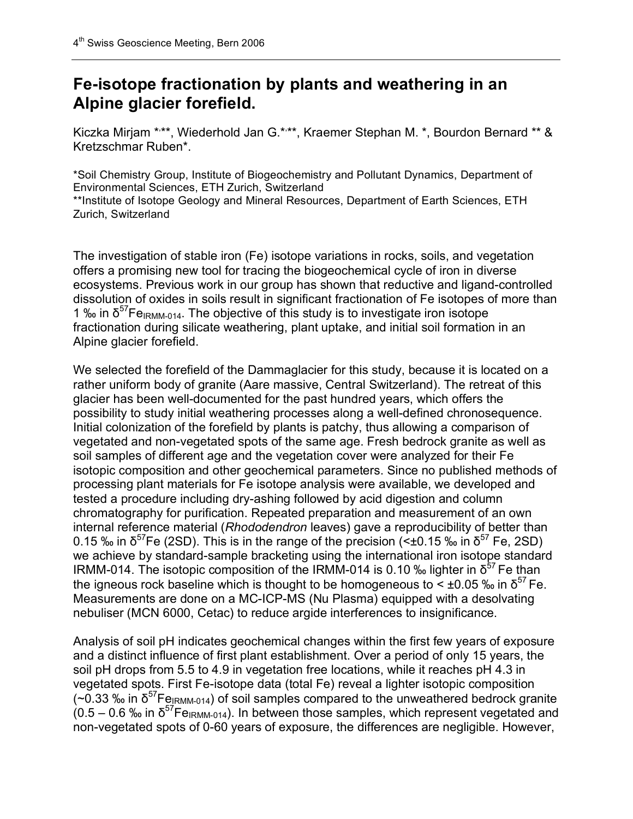## **Fe-isotope fractionation by plants and weathering in an Alpine glacier forefield.**

Kiczka Mirjam \*<sup>\*\*\*</sup>, Wiederhold Jan G.\*<sup>\*\*\*</sup>, Kraemer Stephan M. \*, Bourdon Bernard \*\* & Kretzschmar Ruben\*.

\*Soil Chemistry Group, Institute of Biogeochemistry and Pollutant Dynamics, Department of Environmental Sciences, ETH Zurich, Switzerland

\*\*Institute of Isotope Geology and Mineral Resources, Department of Earth Sciences, ETH Zurich, Switzerland

The investigation of stable iron (Fe) isotope variations in rocks, soils, and vegetation offers a promising new tool for tracing the biogeochemical cycle of iron in diverse ecosystems. Previous work in our group has shown that reductive and ligand-controlled dissolution of oxides in soils result in significant fractionation of Fe isotopes of more than 1 % in  $\delta^{57}$ Fe<sub>IRMM-014</sub>. The objective of this study is to investigate iron isotope fractionation during silicate weathering, plant uptake, and initial soil formation in an Alpine glacier forefield.

We selected the forefield of the Dammaglacier for this study, because it is located on a rather uniform body of granite (Aare massive, Central Switzerland). The retreat of this glacier has been well-documented for the past hundred years, which offers the possibility to study initial weathering processes along a well-defined chronosequence. Initial colonization of the forefield by plants is patchy, thus allowing a comparison of vegetated and non-vegetated spots of the same age. Fresh bedrock granite as well as soil samples of different age and the vegetation cover were analyzed for their Fe isotopic composition and other geochemical parameters. Since no published methods of processing plant materials for Fe isotope analysis were available, we developed and tested a procedure including dry-ashing followed by acid digestion and column chromatography for purification. Repeated preparation and measurement of an own internal reference material (*Rhododendron* leaves) gave a reproducibility of better than 0.15 ‰ in  $\delta^{57}$ Fe (2SD). This is in the range of the precision (<±0.15 ‰ in  $\delta^{57}$  Fe, 2SD) we achieve by standard-sample bracketing using the international iron isotope standard IRMM-014. The isotopic composition of the IRMM-014 is 0.10 ‰ lighter in  $\delta^{57}$  Fe than the igneous rock baseline which is thought to be homogeneous to  $\leq \pm 0.05$  ‰ in  $\delta^{57}$  Fe. Measurements are done on a MC-ICP-MS (Nu Plasma) equipped with a desolvating nebuliser (MCN 6000, Cetac) to reduce argide interferences to insignificance.

Analysis of soil pH indicates geochemical changes within the first few years of exposure and a distinct influence of first plant establishment. Over a period of only 15 years, the soil pH drops from 5.5 to 4.9 in vegetation free locations, while it reaches pH 4.3 in vegetated spots. First Fe-isotope data (total Fe) reveal a lighter isotopic composition (~0.33 ‰ in  $\delta^{57}$ Fe<sub>IRMM-014</sub>) of soil samples compared to the unweathered bedrock granite  $(0.5 - 0.6 \text{ %} \cdot \text{in } \delta^{57} \text{Fe}_{\text{IRMM-014}})$ . In between those samples, which represent vegetated and non-vegetated spots of 0-60 years of exposure, the differences are negligible. However,